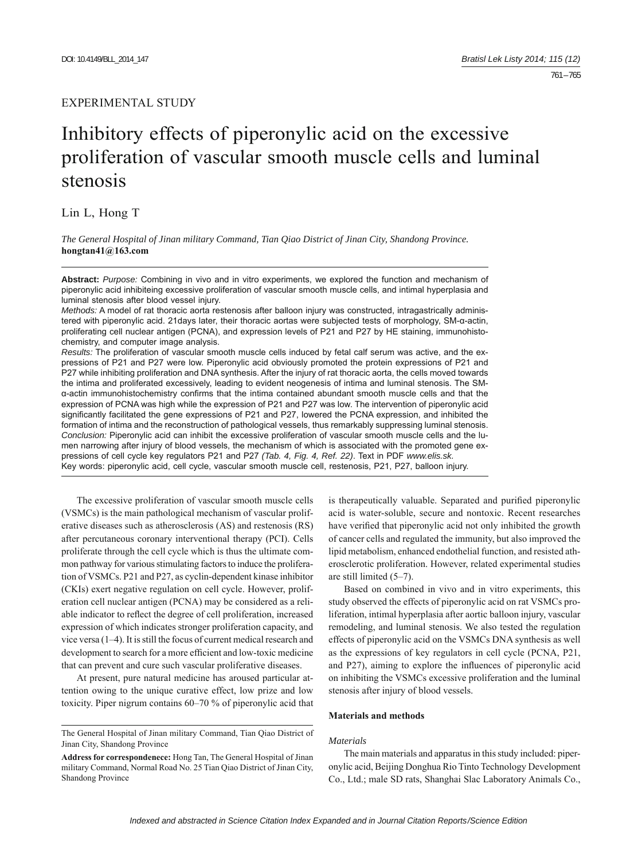# EXPERIMENTAL STUDY

# Inhibitory effects of piperonylic acid on the excessive proliferation of vascular smooth muscle cells and luminal stenosis

Lin L, Hong T

*The General Hospital of Jinan military Command, Tian Qiao District of Jinan City, Shandong Province.*  **hongtan41@163.com**

**Abstract:** *Purpose:* Combining in vivo and in vitro experiments, we explored the function and mechanism of piperonylic acid inhibiteing excessive proliferation of vascular smooth muscle cells, and intimal hyperplasia and luminal stenosis after blood vessel injury.

*Methods:* A model of rat thoracic aorta restenosis after balloon injury was constructed, intragastrically administered with piperonylic acid. 21days later, their thoracic aortas were subjected tests of morphology, SM-α-actin, proliferating cell nuclear antigen (PCNA), and expression levels of P21 and P27 by HE staining, immunohistochemistry, and computer image analysis.

*Results:* The proliferation of vascular smooth muscle cells induced by fetal calf serum was active, and the expressions of P21 and P27 were low. Piperonylic acid obviously promoted the protein expressions of P21 and P27 while inhibiting proliferation and DNA synthesis. After the injury of rat thoracic aorta, the cells moved towards the intima and proliferated excessively, leading to evident neogenesis of intima and luminal stenosis. The SMα-actin immunohistochemistry confirms that the intima contained abundant smooth muscle cells and that the expression of PCNA was high while the expression of P21 and P27 was low. The intervention of piperonylic acid significantly facilitated the gene expressions of P21 and P27, lowered the PCNA expression, and inhibited the formation of intima and the reconstruction of pathological vessels, thus remarkably suppressing luminal stenosis. *Conclusion:* Piperonylic acid can inhibit the excessive proliferation of vascular smooth muscle cells and the lumen narrowing after injury of blood vessels, the mechanism of which is associated with the promoted gene expressions of cell cycle key regulators P21 and P27 *(Tab. 4, Fig. 4, Ref. 22)*. Text in PDF *www.elis.sk.* Key words: piperonylic acid, cell cycle, vascular smooth muscle cell, restenosis, P21, P27, balloon injury.

The excessive proliferation of vascular smooth muscle cells (VSMCs) is the main pathological mechanism of vascular proliferative diseases such as atherosclerosis (AS) and restenosis (RS) after percutaneous coronary interventional therapy (PCI). Cells proliferate through the cell cycle which is thus the ultimate common pathway for various stimulating factors to induce the proliferation of VSMCs. P21 and P27, as cyclin-dependent kinase inhibitor (CKIs) exert negative regulation on cell cycle. However, proliferation cell nuclear antigen (PCNA) may be considered as a reliable indicator to reflect the degree of cell proliferation, increased expression of which indicates stronger proliferation capacity, and vice versa (1–4). It is still the focus of current medical research and development to search for a more efficient and low-toxic medicine that can prevent and cure such vascular proliferative diseases.

At present, pure natural medicine has aroused particular attention owing to the unique curative effect, low prize and low toxicity. Piper nigrum contains 60–70 % of piperonylic acid that

is therapeutically valuable. Separated and purified piperonylic acid is water-soluble, secure and nontoxic. Recent researches have verified that piperonylic acid not only inhibited the growth of cancer cells and regulated the immunity, but also improved the lipid metabolism, enhanced endothelial function, and resisted atherosclerotic proliferation. However, related experimental studies are still limited (5–7).

Based on combined in vivo and in vitro experiments, this study observed the effects of piperonylic acid on rat VSMCs proliferation, intimal hyperplasia after aortic balloon injury, vascular remodeling, and luminal stenosis. We also tested the regulation effects of piperonylic acid on the VSMCs DNA synthesis as well as the expressions of key regulators in cell cycle (PCNA, P21, and P27), aiming to explore the influences of piperonylic acid on inhibiting the VSMCs excessive proliferation and the luminal stenosis after injury of blood vessels.

#### **Materials and methods**

#### *Materials*

The main materials and apparatus in this study included: piperonylic acid, Beijing Donghua Rio Tinto Technology Development Co., Ltd.; male SD rats, Shanghai Slac Laboratory Animals Co.,

The General Hospital of Jinan military Command, Tian Qiao District of Jinan City, Shandong Province

**Address for correspondenece:** Hong Tan, The General Hospital of Jinan military Command, Normal Road No. 25 Tian Qiao District of Jinan City, Shandong Province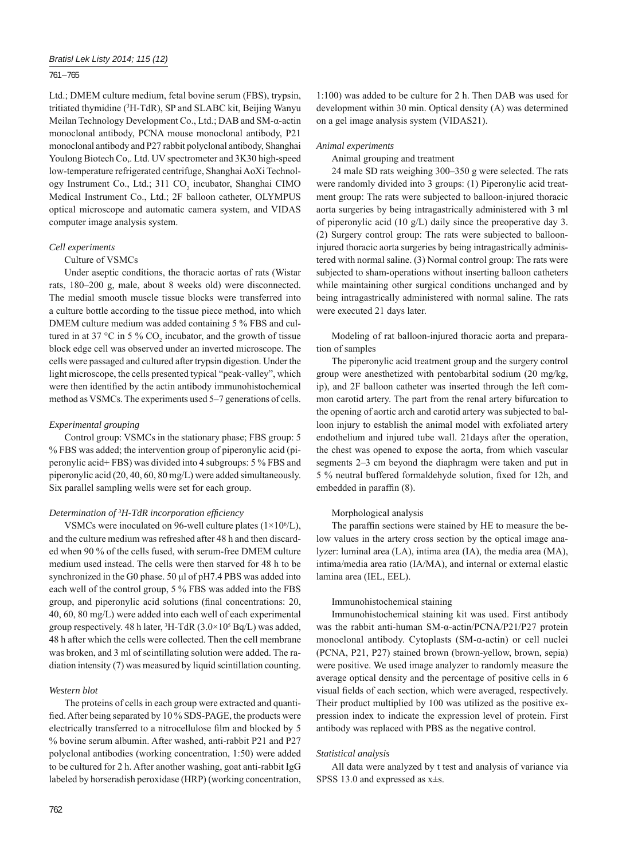#### 761 – 765

Ltd.; DMEM culture medium, fetal bovine serum (FBS), trypsin, tritiated thymidine (3 H-TdR), SP and SLABC kit, Beijing Wanyu Meilan Technology Development Co., Ltd.; DAB and SM-α-actin monoclonal antibody, PCNA mouse monoclonal antibody, P21 monoclonal antibody and P27 rabbit polyclonal antibody, Shanghai Youlong Biotech Co,. Ltd. UV spectrometer and 3K30 high-speed low-temperature refrigerated centrifuge, Shanghai AoXi Technology Instrument Co., Ltd.; 311 CO<sub>2</sub> incubator, Shanghai CIMO Medical Instrument Co., Ltd.; 2F balloon catheter, OLYMPUS optical microscope and automatic camera system, and VIDAS computer image analysis system.

#### *Cell experiments*

#### Culture of VSMCs

Under aseptic conditions, the thoracic aortas of rats (Wistar rats, 180–200 g, male, about 8 weeks old) were disconnected. The medial smooth muscle tissue blocks were transferred into a culture bottle according to the tissue piece method, into which DMEM culture medium was added containing 5 % FBS and cultured in at 37 °C in 5 %  $CO_2$  incubator, and the growth of tissue block edge cell was observed under an inverted microscope. The cells were passaged and cultured after trypsin digestion. Under the light microscope, the cells presented typical "peak-valley", which were then identified by the actin antibody immunohistochemical method as VSMCs. The experiments used 5–7 generations of cells.

#### *Experimental grouping*

Control group: VSMCs in the stationary phase; FBS group: 5 % FBS was added; the intervention group of piperonylic acid (piperonylic acid+ FBS) was divided into 4 subgroups: 5 % FBS and piperonylic acid (20, 40, 60, 80 mg/L) were added simultaneously. Six parallel sampling wells were set for each group.

#### *Determination of 3 H-TdR incorporation effi ciency*

VSMCs were inoculated on 96-well culture plates  $(1\times10<sup>6</sup>/L)$ , and the culture medium was refreshed after 48 h and then discarded when 90 % of the cells fused, with serum-free DMEM culture medium used instead. The cells were then starved for 48 h to be synchronized in the G0 phase. 50 μl of pH7.4 PBS was added into each well of the control group, 5 % FBS was added into the FBS group, and piperonylic acid solutions (final concentrations: 20, 40, 60, 80 mg/L) were added into each well of each experimental group respectively. 48 h later,  ${}^{3}H$ -TdR (3.0×10<sup>5</sup> Bq/L) was added, 48 h after which the cells were collected. Then the cell membrane was broken, and 3 ml of scintillating solution were added. The radiation intensity (7) was measured by liquid scintillation counting.

#### *Western blot*

The proteins of cells in each group were extracted and quantified. After being separated by 10 % SDS-PAGE, the products were electrically transferred to a nitrocellulose film and blocked by 5 % bovine serum albumin. After washed, anti-rabbit P21 and P27 polyclonal antibodies (working concentration, 1:50) were added to be cultured for 2 h. After another washing, goat anti-rabbit IgG labeled by horseradish peroxidase (HRP) (working concentration,

1:100) was added to be culture for 2 h. Then DAB was used for development within 30 min. Optical density (A) was determined on a gel image analysis system (VIDAS21).

#### *Animal experiments*

Animal grouping and treatment

24 male SD rats weighing 300–350 g were selected. The rats were randomly divided into 3 groups: (1) Piperonylic acid treatment group: The rats were subjected to balloon-injured thoracic aorta surgeries by being intragastrically administered with 3 ml of piperonylic acid (10 g/L) daily since the preoperative day 3. (2) Surgery control group: The rats were subjected to ballooninjured thoracic aorta surgeries by being intragastrically administered with normal saline. (3) Normal control group: The rats were subjected to sham-operations without inserting balloon catheters while maintaining other surgical conditions unchanged and by being intragastrically administered with normal saline. The rats were executed 21 days later.

Modeling of rat balloon-injured thoracic aorta and preparation of samples

The piperonylic acid treatment group and the surgery control group were anesthetized with pentobarbital sodium (20 mg/kg, ip), and 2F balloon catheter was inserted through the left common carotid artery. The part from the renal artery bifurcation to the opening of aortic arch and carotid artery was subjected to balloon injury to establish the animal model with exfoliated artery endothelium and injured tube wall. 21days after the operation, the chest was opened to expose the aorta, from which vascular segments 2–3 cm beyond the diaphragm were taken and put in 5 % neutral buffered formaldehyde solution, fixed for 12h, and embedded in paraffin (8).

## Morphological analysis

The paraffin sections were stained by HE to measure the below values in the artery cross section by the optical image analyzer: luminal area (LA), intima area (IA), the media area (MA), intima/media area ratio (IA/MA), and internal or external elastic lamina area (IEL, EEL).

#### Immunohistochemical staining

Immunohistochemical staining kit was used. First antibody was the rabbit anti-human SM-α-actin/PCNA/P21/P27 protein monoclonal antibody. Cytoplasts (SM-α-actin) or cell nuclei (PCNA, P21, P27) stained brown (brown-yellow, brown, sepia) were positive. We used image analyzer to randomly measure the average optical density and the percentage of positive cells in 6 visual fields of each section, which were averaged, respectively. Their product multiplied by 100 was utilized as the positive expression index to indicate the expression level of protein. First antibody was replaced with PBS as the negative control.

#### *Statistical analysis*

All data were analyzed by t test and analysis of variance via SPSS 13.0 and expressed as  $x \pm s$ .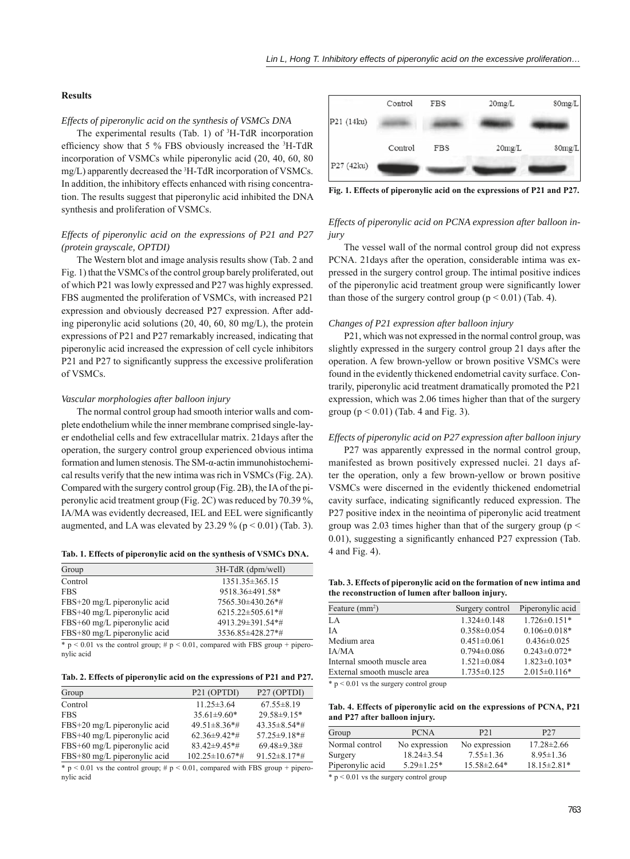#### **Results**

### *Effects of piperonylic acid on the synthesis of VSMCs DNA*

The experimental results (Tab. 1) of  ${}^{3}$ H-TdR incorporation efficiency show that 5 % FBS obviously increased the  ${}^{3}$ H-TdR incorporation of VSMCs while piperonylic acid (20, 40, 60, 80 mg/L) apparently decreased the <sup>3</sup>H-TdR incorporation of VSMCs. In addition, the inhibitory effects enhanced with rising concentration. The results suggest that piperonylic acid inhibited the DNA synthesis and proliferation of VSMCs.

## *Effects of piperonylic acid on the expressions of P21 and P27 (protein grayscale, OPTDI)*

The Western blot and image analysis results show (Tab. 2 and Fig. 1) that the VSMCs of the control group barely proliferated, out of which P21 was lowly expressed and P27 was highly expressed. FBS augmented the proliferation of VSMCs, with increased P21 expression and obviously decreased P27 expression. After adding piperonylic acid solutions (20, 40, 60, 80 mg/L), the protein expressions of P21 and P27 remarkably increased, indicating that piperonylic acid increased the expression of cell cycle inhibitors P21 and P27 to significantly suppress the excessive proliferation of VSMCs.

#### *Vascular morphologies after balloon injury*

The normal control group had smooth interior walls and complete endothelium while the inner membrane comprised single-layer endothelial cells and few extracellular matrix. 21days after the operation, the surgery control group experienced obvious intima formation and lumen stenosis. The SM-α-actin immunohistochemical results verify that the new intima was rich in VSMCs (Fig. 2A). Compared with the surgery control group (Fig. 2B), the IA of the piperonylic acid treatment group (Fig. 2C) was reduced by 70.39 %, IA/MA was evidently decreased, IEL and EEL were significantly augmented, and LA was elevated by  $23.29\%$  (p < 0.01) (Tab. 3).

**Tab. 1. Effects of piperonylic acid on the synthesis of VSMCs DNA.**

| Group                        | 3H-TdR (dpm/well)       |
|------------------------------|-------------------------|
| Control                      | 1351.35 ± 365.15        |
| <b>FBS</b>                   | 9518.36±491.58*         |
| FBS+20 mg/L piperonylic acid | 7565.30±430.26*#        |
| FBS+40 mg/L piperonylic acid | $6215.22 \pm 505.61$ *# |
| FBS+60 mg/L piperonylic acid | 4913.29±391.54*#        |
| FBS+80 mg/L piperonylic acid | 3536.85±428.27*#        |

 $\frac{1}{2}$  is the control group; # p < 0.01, compared with FBS group + piperonylic acid

**Tab. 2. Effects of piperonylic acid on the expressions of P21 and P27.**

| Group                        | P <sub>21</sub> (OPTDI)         | P <sub>27</sub> (OPTDI)         |
|------------------------------|---------------------------------|---------------------------------|
| Control                      | $11.25 \pm 3.64$                | $67.55 \pm 8.19$                |
| <b>FBS</b>                   | $35.61 \pm 9.60*$               | 29.58±9.15*                     |
| FBS+20 mg/L piperonylic acid | $49.51 \pm 8.36$ *#             | $43.35\pm8.54**$                |
| FBS+40 mg/L piperonylic acid | $62.36\pm9.42**$                | $57.25 \pm 9.18$ <sup>*</sup> # |
| FBS+60 mg/L piperonylic acid | $83.42 \pm 9.45$ <sup>*</sup> # | 69.48±9.38#                     |
| FBS+80 mg/L piperonylic acid | $102.25 \pm 10.67$ *#           | $91.52 \pm 8.17$ *#             |

 $*$  p < 0.01 vs the control group;  $# p$  < 0.01, compared with FBS group + piperonylic acid



**Fig. 1. Effects of piperonylic acid on the expressions of P21 and P27.**

#### *Effects of piperonylic acid on PCNA expression after balloon injury*

The vessel wall of the normal control group did not express PCNA. 21days after the operation, considerable intima was expressed in the surgery control group. The intimal positive indices of the piperonylic acid treatment group were significantly lower than those of the surgery control group ( $p \le 0.01$ ) (Tab. 4).

#### *Changes of P21 expression after balloon injury*

P21, which was not expressed in the normal control group, was slightly expressed in the surgery control group 21 days after the operation. A few brown-yellow or brown positive VSMCs were found in the evidently thickened endometrial cavity surface. Contrarily, piperonylic acid treatment dramatically promoted the P21 expression, which was 2.06 times higher than that of the surgery group  $(p < 0.01)$  (Tab. 4 and Fig. 3).

#### *Effects of piperonylic acid on P27 expression after balloon injury*

P27 was apparently expressed in the normal control group, manifested as brown positively expressed nuclei. 21 days after the operation, only a few brown-yellow or brown positive VSMCs were discerned in the evidently thickened endometrial cavity surface, indicating significantly reduced expression. The P27 positive index in the neointima of piperonylic acid treatment group was 2.03 times higher than that of the surgery group ( $p <$  $0.01$ ), suggesting a significantly enhanced P27 expression (Tab. 4 and Fig. 4).

**Tab. 3. Effects of piperonylic acid on the formation of new intima and the reconstruction of lumen after balloon injury.**

| Feature $(mm2)$             | Surgery control   | Piperonylic acid    |
|-----------------------------|-------------------|---------------------|
| LA                          | $1.324 \pm 0.148$ | $1.726 \pm 0.151$ * |
| <b>IA</b>                   | $0.358 \pm 0.054$ | $0.106 \pm 0.018*$  |
| Medium area                 | $0.451 \pm 0.061$ | $0.436\pm0.025$     |
| IA/MA                       | $0.794 \pm 0.086$ | $0.243 \pm 0.072$ * |
| Internal smooth muscle area | $1.521 \pm 0.084$ | $1.823 \pm 0.103*$  |
| External smooth muscle area | $1.735 \pm 0.125$ | $2.015 \pm 0.116*$  |

\* p < 0.01 vs the surgery control group

**Tab. 4. Effects of piperonylic acid on the expressions of PCNA, P21 and P27 after balloon injury.**

| Group                                                     | <b>PCNA</b>       | P <sub>21</sub> | P <sub>27</sub>   |
|-----------------------------------------------------------|-------------------|-----------------|-------------------|
| Normal control                                            | No expression     | No expression   | $17.28 \pm 2.66$  |
| Surgery                                                   | $18.24 \pm 3.54$  | $7.55 \pm 1.36$ | $8.95 \pm 1.36$   |
| Piperonylic acid                                          | $5.29 \pm 1.25$ * | $15.58\pm2.64*$ | $18.15 \pm 2.81*$ |
| $\mathbf{a}$ . $\mathbf{a}$ . $\mathbf{a}$ . $\mathbf{a}$ |                   |                 |                   |

 $* p < 0.01$  vs the surgery control group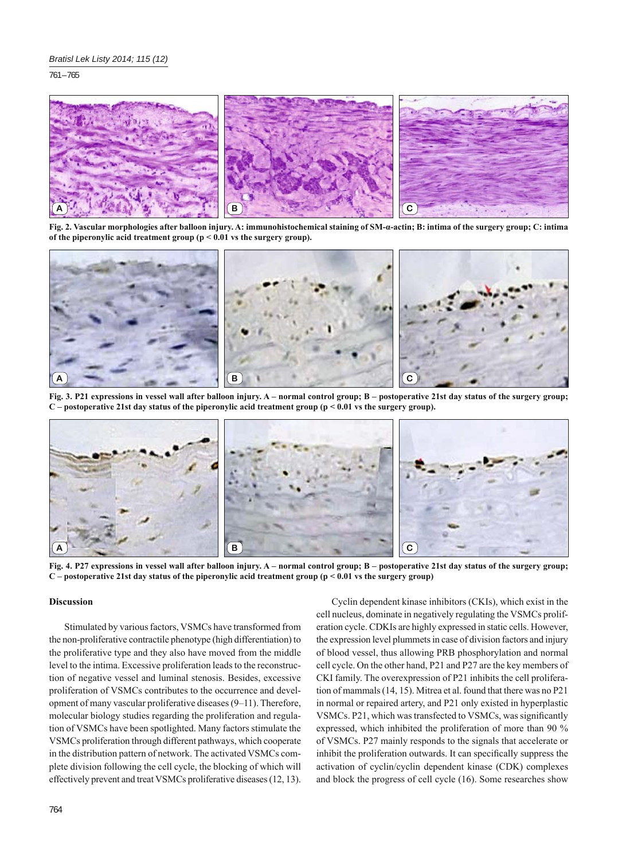761 – 765



**Fig. 2. Vascular morphologies after balloon injury. A: immunohistochemical staining of SM-α-actin; B: intima of the surgery group; C: intima of the piperonylic acid treatment group (p < 0.01 vs the surgery group).**



**Fig. 3. P21 expressions in vessel wall after balloon injury. A – normal control group; B – postoperative 21st day status of the surgery group; C – postoperative 21st day status of the piperonylic acid treatment group (p < 0.01 vs the surgery group).**



**Fig. 4. P27 expressions in vessel wall after balloon injury. A – normal control group; B – postoperative 21st day status of the surgery group; C – postoperative 21st day status of the piperonylic acid treatment group (p < 0.01 vs the surgery group)**

### **Discussion**

Stimulated by various factors, VSMCs have transformed from the non-proliferative contractile phenotype (high differentiation) to the proliferative type and they also have moved from the middle level to the intima. Excessive proliferation leads to the reconstruction of negative vessel and luminal stenosis. Besides, excessive proliferation of VSMCs contributes to the occurrence and development of many vascular proliferative diseases (9–11). Therefore, molecular biology studies regarding the proliferation and regulation of VSMCs have been spotlighted. Many factors stimulate the VSMCs proliferation through different pathways, which cooperate in the distribution pattern of network. The activated VSMCs complete division following the cell cycle, the blocking of which will effectively prevent and treat VSMCs proliferative diseases (12, 13).

Cyclin dependent kinase inhibitors (CKIs), which exist in the cell nucleus, dominate in negatively regulating the VSMCs proliferation cycle. CDKIs are highly expressed in static cells. However, the expression level plummets in case of division factors and injury of blood vessel, thus allowing PRB phosphorylation and normal cell cycle. On the other hand, P21 and P27 are the key members of CKI family. The overexpression of P21 inhibits the cell proliferation of mammals (14, 15). Mitrea et al. found that there was no P21 in normal or repaired artery, and P21 only existed in hyperplastic VSMCs. P21, which was transfected to VSMCs, was significantly expressed, which inhibited the proliferation of more than 90 % of VSMCs. P27 mainly responds to the signals that accelerate or inhibit the proliferation outwards. It can specifically suppress the activation of cyclin/cyclin dependent kinase (CDK) complexes and block the progress of cell cycle (16). Some researches show